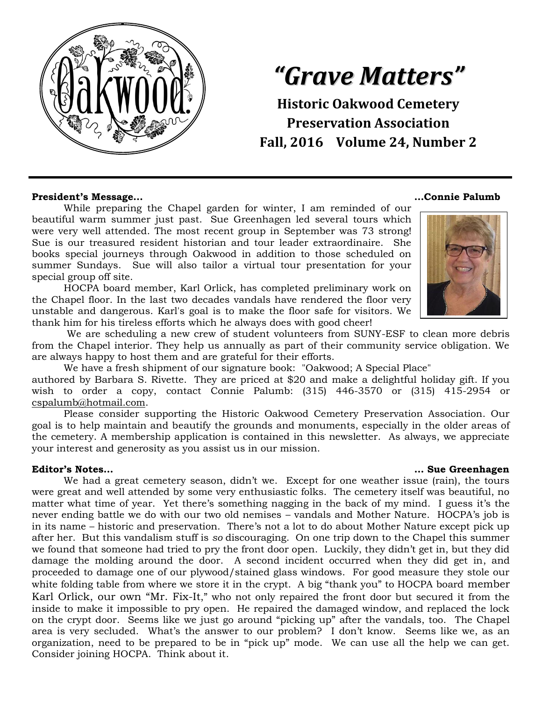

# *"Grave Matters"*

**Historic Oakwood Cemetery Preservation Association Fall, 2016 Volume 24, Number 2**

#### **President's Message… …Connie Palumb**

While preparing the Chapel garden for winter, I am reminded of our beautiful warm summer just past. Sue Greenhagen led several tours which were very well attended. The most recent group in September was 73 strong! Sue is our treasured resident historian and tour leader extraordinaire. She books special journeys through Oakwood in addition to those scheduled on summer Sundays. Sue will also tailor a virtual tour presentation for your special group off site.

HOCPA board member, Karl Orlick, has completed preliminary work on the Chapel floor. In the last two decades vandals have rendered the floor very unstable and dangerous. Karl's goal is to make the floor safe for visitors. We thank him for his tireless efforts which he always does with good cheer!





We are scheduling a new crew of student volunteers from SUNY-ESF to clean more debris from the Chapel interior. They help us annually as part of their community service obligation. We are always happy to host them and are grateful for their efforts.

We have a fresh shipment of our signature book: "Oakwood; A Special Place"

authored by Barbara S. Rivette. They are priced at \$20 and make a delightful holiday gift. If you wish to order a copy, contact Connie Palumb: (315) 446-3570 or (315) 415-2954 or [cspalumb@hotmail.com.](mailto:cspalumb@hotmail.com)

Please consider supporting the Historic Oakwood Cemetery Preservation Association. Our goal is to help maintain and beautify the grounds and monuments, especially in the older areas of the cemetery. A membership application is contained in this newsletter. As always, we appreciate your interest and generosity as you assist us in our mission.

#### **Editor's Notes… … Sue Greenhagen**

We had a great cemetery season, didn't we. Except for one weather issue (rain), the tours were great and well attended by some very enthusiastic folks. The cemetery itself was beautiful, no matter what time of year. Yet there's something nagging in the back of my mind. I guess it's the never ending battle we do with our two old nemises – vandals and Mother Nature. HOCPA's job is in its name – historic and preservation. There's not a lot to do about Mother Nature except pick up after her. But this vandalism stuff is *so* discouraging. On one trip down to the Chapel this summer we found that someone had tried to pry the front door open. Luckily, they didn't get in, but they did damage the molding around the door. A second incident occurred when they did get in, and proceeded to damage one of our plywood/stained glass windows. For good measure they stole our white folding table from where we store it in the crypt. A big "thank you" to HOCPA board member Karl Orlick, our own "Mr. Fix-It," who not only repaired the front door but secured it from the inside to make it impossible to pry open. He repaired the damaged window, and replaced the lock on the crypt door. Seems like we just go around "picking up" after the vandals, too. The Chapel area is very secluded. What's the answer to our problem? I don't know. Seems like we, as an organization, need to be prepared to be in "pick up" mode. We can use all the help we can get. Consider joining HOCPA. Think about it.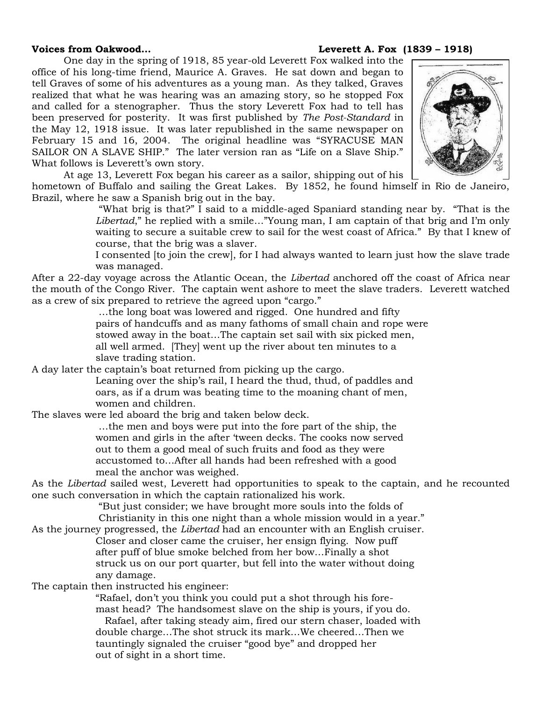### **Voices from Oakwood… Leverett A. Fox (1839 – 1918)**

One day in the spring of 1918, 85 year-old Leverett Fox walked into the office of his long-time friend, Maurice A. Graves. He sat down and began to tell Graves of some of his adventures as a young man. As they talked, Graves realized that what he was hearing was an amazing story, so he stopped Fox and called for a stenographer. Thus the story Leverett Fox had to tell has been preserved for posterity. It was first published by *The Post-Standard* in the May 12, 1918 issue. It was later republished in the same newspaper on February 15 and 16, 2004. The original headline was "SYRACUSE MAN SAILOR ON A SLAVE SHIP." The later version ran as "Life on a Slave Ship." What follows is Leverett's own story.



At age 13, Leverett Fox began his career as a sailor, shipping out of his

hometown of Buffalo and sailing the Great Lakes. By 1852, he found himself in Rio de Janeiro, Brazil, where he saw a Spanish brig out in the bay.

> "What brig is that?" I said to a middle-aged Spaniard standing near by. "That is the *Libertad*," he replied with a smile…"Young man, I am captain of that brig and I'm only waiting to secure a suitable crew to sail for the west coast of Africa." By that I knew of course, that the brig was a slaver.

> I consented [to join the crew], for I had always wanted to learn just how the slave trade was managed.

After a 22-day voyage across the Atlantic Ocean, the *Libertad* anchored off the coast of Africa near the mouth of the Congo River. The captain went ashore to meet the slave traders. Leverett watched as a crew of six prepared to retrieve the agreed upon "cargo."

…the long boat was lowered and rigged. One hundred and fifty pairs of handcuffs and as many fathoms of small chain and rope were stowed away in the boat…The captain set sail with six picked men, all well armed. [They] went up the river about ten minutes to a slave trading station.

A day later the captain's boat returned from picking up the cargo.

Leaning over the ship's rail, I heard the thud, thud, of paddles and oars, as if a drum was beating time to the moaning chant of men, women and children.

The slaves were led aboard the brig and taken below deck.

…the men and boys were put into the fore part of the ship, the women and girls in the after 'tween decks. The cooks now served out to them a good meal of such fruits and food as they were accustomed to…After all hands had been refreshed with a good meal the anchor was weighed.

As the *Libertad* sailed west, Leverett had opportunities to speak to the captain, and he recounted one such conversation in which the captain rationalized his work.

"But just consider; we have brought more souls into the folds of Christianity in this one night than a whole mission would in a year."

As the journey progressed, the *Libertad* had an encounter with an English cruiser.

Closer and closer came the cruiser, her ensign flying. Now puff after puff of blue smoke belched from her bow…Finally a shot struck us on our port quarter, but fell into the water without doing any damage.

The captain then instructed his engineer:

"Rafael, don't you think you could put a shot through his foremast head? The handsomest slave on the ship is yours, if you do. Rafael, after taking steady aim, fired our stern chaser, loaded with double charge…The shot struck its mark…We cheered…Then we tauntingly signaled the cruiser "good bye" and dropped her out of sight in a short time.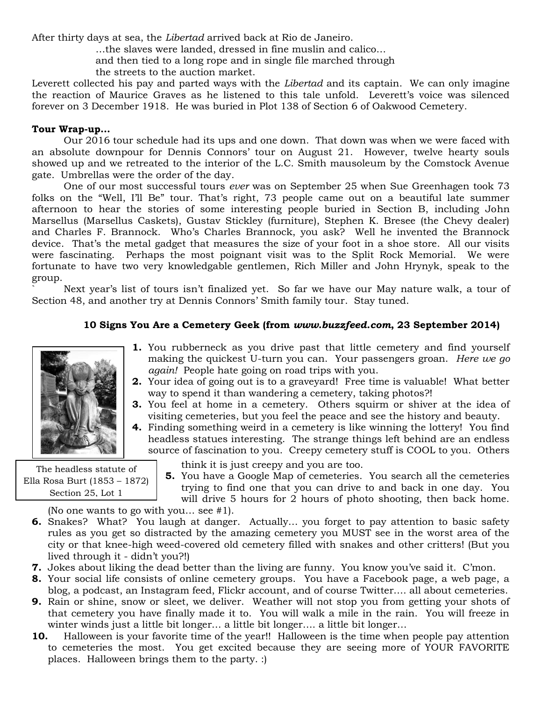After thirty days at sea, the *Libertad* arrived back at Rio de Janeiro.

…the slaves were landed, dressed in fine muslin and calico…

and then tied to a long rope and in single file marched through

the streets to the auction market.

Leverett collected his pay and parted ways with the *Libertad* and its captain. We can only imagine the reaction of Maurice Graves as he listened to this tale unfold. Leverett's voice was silenced forever on 3 December 1918. He was buried in Plot 138 of Section 6 of Oakwood Cemetery.

### **Tour Wrap-up…**

Our 2016 tour schedule had its ups and one down. That down was when we were faced with an absolute downpour for Dennis Connors' tour on August 21. However, twelve hearty souls showed up and we retreated to the interior of the L.C. Smith mausoleum by the Comstock Avenue gate. Umbrellas were the order of the day.

One of our most successful tours *ever* was on September 25 when Sue Greenhagen took 73 folks on the "Well, I'll Be" tour. That's right, 73 people came out on a beautiful late summer afternoon to hear the stories of some interesting people buried in Section B, including John Marsellus (Marsellus Caskets), Gustav Stickley (furniture), Stephen K. Bresee (the Chevy dealer) and Charles F. Brannock. Who's Charles Brannock, you ask? Well he invented the Brannock device. That's the metal gadget that measures the size of your foot in a shoe store. All our visits were fascinating. Perhaps the most poignant visit was to the Split Rock Memorial. We were fortunate to have two very knowledgable gentlemen, Rich Miller and John Hrynyk, speak to the group.

Next year's list of tours isn't finalized yet. So far we have our May nature walk, a tour of Section 48, and another try at Dennis Connors' Smith family tour. Stay tuned.

## **10 Signs You Are a Cemetery Geek. 10 Signs You Are a Cemetery Geek (from** *www.buzzfeed.com***, 23 September 2014)**



The headless statute of Ella Rosa Burt (1853 – 1872) Section 25, Lot 1

- **1.** You rubberneck as you drive past that little cemetery and find yourself making the quickest U-turn you can. Your passengers groan. *Here we go again!* People hate going on road trips with you.
- **2.** Your idea of going out is to a graveyard! Free time is valuable! What better way to spend it than wandering a cemetery, taking photos?!
- **3.** You feel at home in a cemetery. Others squirm or shiver at the idea of visiting cemeteries, but you feel the peace and see the history and beauty.
- **4.** Finding something weird in a cemetery is like winning the lottery! You find headless statues interesting. The strange things left behind are an endless source of fascination to you. Creepy cemetery stuff is COOL to you. Others
	- think it is just creepy and you are too.
	- **5.** You have a Google Map of cemeteries. You search all the cemeteries trying to find one that you can drive to and back in one day. You will drive 5 hours for 2 hours of photo shooting, then back home.

(No one wants to go with you… see #1).

- **6.** Snakes? What? You laugh at danger. Actually… you forget to pay attention to basic safety rules as you get so distracted by the amazing cemetery you MUST see in the worst area of the city or that knee-high weed-covered old cemetery filled with snakes and other critters! (But you lived through it - didn't you?!)
- **7.** Jokes about liking the dead better than the living are funny. You know you've said it. C'mon.
- **8.** Your social life consists of online cemetery groups. You have a Facebook page, a web page, a blog, a podcast, an Instagram feed, Flickr account, and of course Twitter…. all about cemeteries.
- **9.** Rain or shine, snow or sleet, we deliver. Weather will not stop you from getting your shots of that cemetery you have finally made it to. You will walk a mile in the rain. You will freeze in winter winds just a little bit longer… a little bit longer…. a little bit longer…
- **10.** Halloween is your favorite time of the year!! Halloween is the time when people pay attention to cemeteries the most. You get excited because they are seeing more of YOUR FAVORITE places. Halloween brings them to the party. :)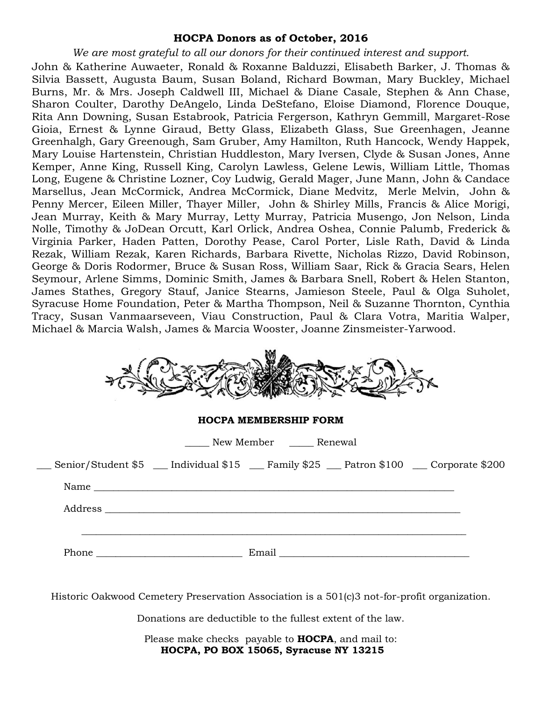### **HOCPA Donors as of October, 2016**

*We are most grateful to all our donors for their continued interest and support.*

John & Katherine Auwaeter, Ronald & Roxanne Balduzzi, Elisabeth Barker, J. Thomas & Silvia Bassett, Augusta Baum, Susan Boland, Richard Bowman, Mary Buckley, Michael Burns, Mr. & Mrs. Joseph Caldwell III, Michael & Diane Casale, Stephen & Ann Chase, Sharon Coulter, Darothy DeAngelo, Linda DeStefano, Eloise Diamond, Florence Douque, Rita Ann Downing, Susan Estabrook, Patricia Fergerson, Kathryn Gemmill, Margaret-Rose Gioia, Ernest & Lynne Giraud, Betty Glass, Elizabeth Glass, Sue Greenhagen, Jeanne Greenhalgh, Gary Greenough, Sam Gruber, Amy Hamilton, Ruth Hancock, Wendy Happek, Mary Louise Hartenstein, Christian Huddleston, Mary Iversen, Clyde & Susan Jones, Anne Kemper, Anne King, Russell King, Carolyn Lawless, Gelene Lewis, William Little, Thomas Long, Eugene & Christine Lozner, Coy Ludwig, Gerald Mager, June Mann, John & Candace Marsellus, Jean McCormick, Andrea McCormick, Diane Medvitz, Merle Melvin, John & Penny Mercer, Eileen Miller, Thayer Miller, John & Shirley Mills, Francis & Alice Morigi, Jean Murray, Keith & Mary Murray, Letty Murray, Patricia Musengo, Jon Nelson, Linda Nolle, Timothy & JoDean Orcutt, Karl Orlick, Andrea Oshea, Connie Palumb, Frederick & Virginia Parker, Haden Patten, Dorothy Pease, Carol Porter, Lisle Rath, David & Linda Rezak, William Rezak, Karen Richards, Barbara Rivette, Nicholas Rizzo, David Robinson, George & Doris Rodormer, Bruce & Susan Ross, William Saar, Rick & Gracia Sears, Helen Seymour, Arlene Simms, Dominic Smith, James & Barbara Snell, Robert & Helen Stanton, James Stathes, Gregory Stauf, Janice Stearns, Jamieson Steele, Paul & Olga Suholet, Syracuse Home Foundation, Peter & Martha Thompson, Neil & Suzanne Thornton, Cynthia Tracy, Susan Vanmaarseveen, Viau Construction, Paul & Clara Votra, Maritia Walper, Michael & Marcia Walsh, James & Marcia Wooster, Joanne Zinsmeister-Yarwood.

| <b>HOCPA MEMBERSHIP FORM</b> |                                                                                         |
|------------------------------|-----------------------------------------------------------------------------------------|
| New Member _______ Renewal   |                                                                                         |
|                              | Senior/Student \$5 __ Individual \$15 __ Family \$25 __ Patron \$100 __ Corporate \$200 |
|                              |                                                                                         |
|                              |                                                                                         |
|                              |                                                                                         |
|                              | Phone Email Email                                                                       |

Historic Oakwood Cemetery Preservation Association is a 501(c)3 not-for-profit organization.

Donations are deductible to the fullest extent of the law.

Please make checks payable to **HOCPA**, and mail to: **HOCPA, PO BOX 15065, Syracuse NY 13215**